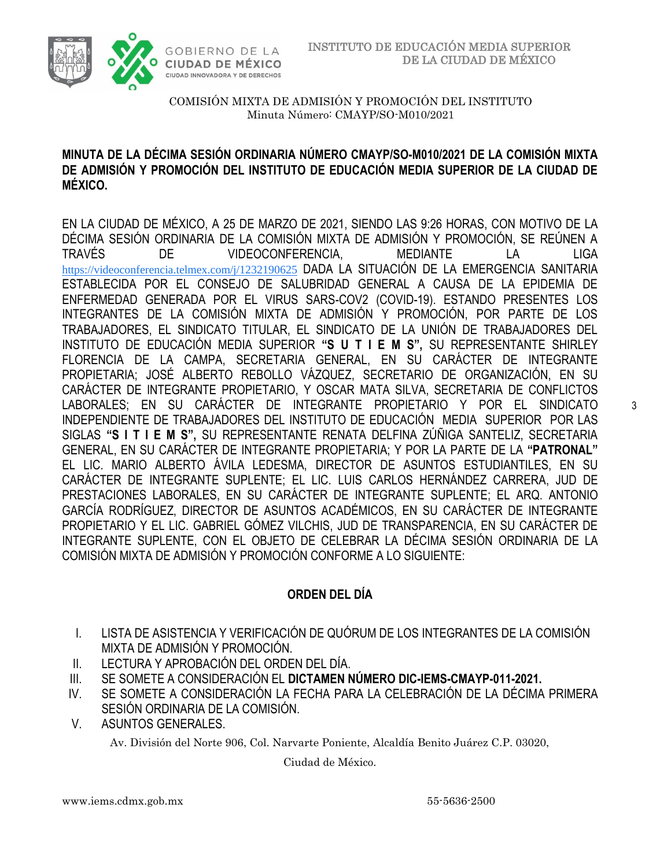

#### **MINUTA DE LA DÉCIMA SESIÓN ORDINARIA NÚMERO CMAYP/SO-M010/2021 DE LA COMISIÓN MIXTA DE ADMISIÓN Y PROMOCIÓN DEL INSTITUTO DE EDUCACIÓN MEDIA SUPERIOR DE LA CIUDAD DE MÉXICO.**

EN LA CIUDAD DE MÉXICO, A 25 DE MARZO DE 2021, SIENDO LAS 9:26 HORAS, CON MOTIVO DE LA DÉCIMA SESIÓN ORDINARIA DE LA COMISIÓN MIXTA DE ADMISIÓN Y PROMOCIÓN, SE REÚNEN A TRAVÉS DE VIDEOCONFERENCIA, MEDIANTE LA LIGA [https://videoconferencia.telmex.com/j/1232190625](https://www.google.com/url?q=https://videoconferencia.telmex.com/j/1232190625&sa=D&source=calendar&ust=1617117571357000&usg=AOvVaw0zDQuicbPJphejp_PSQvey) DADA LA SITUACIÓN DE LA EMERGENCIA SANITARIA ESTABLECIDA POR EL CONSEJO DE SALUBRIDAD GENERAL A CAUSA DE LA EPIDEMIA DE ENFERMEDAD GENERADA POR EL VIRUS SARS-COV2 (COVID-19). ESTANDO PRESENTES LOS INTEGRANTES DE LA COMISIÓN MIXTA DE ADMISIÓN Y PROMOCIÓN, POR PARTE DE LOS TRABAJADORES, EL SINDICATO TITULAR, EL SINDICATO DE LA UNIÓN DE TRABAJADORES DEL INSTITUTO DE EDUCACIÓN MEDIA SUPERIOR **"S U T I E M S",** SU REPRESENTANTE SHIRLEY FLORENCIA DE LA CAMPA, SECRETARIA GENERAL, EN SU CARÁCTER DE INTEGRANTE PROPIETARIA; JOSÉ ALBERTO REBOLLO VÁZQUEZ, SECRETARIO DE ORGANIZACIÓN, EN SU CARÁCTER DE INTEGRANTE PROPIETARIO, Y OSCAR MATA SILVA, SECRETARIA DE CONFLICTOS LABORALES; EN SU CARÁCTER DE INTEGRANTE PROPIETARIO Y POR EL SINDICATO INDEPENDIENTE DE TRABAJADORES DEL INSTITUTO DE EDUCACIÓN MEDIA SUPERIOR POR LAS SIGLAS **"S I T I E M S",** SU REPRESENTANTE RENATA DELFINA ZÚÑIGA SANTELIZ, SECRETARIA GENERAL, EN SU CARÁCTER DE INTEGRANTE PROPIETARIA; Y POR LA PARTE DE LA **"PATRONAL"**  EL LIC. MARIO ALBERTO ÁVILA LEDESMA, DIRECTOR DE ASUNTOS ESTUDIANTILES, EN SU CARÁCTER DE INTEGRANTE SUPLENTE; EL LIC. LUIS CARLOS HERNÁNDEZ CARRERA, JUD DE PRESTACIONES LABORALES, EN SU CARÁCTER DE INTEGRANTE SUPLENTE; EL ARQ. ANTONIO GARCÍA RODRÍGUEZ, DIRECTOR DE ASUNTOS ACADÉMICOS, EN SU CARÁCTER DE INTEGRANTE PROPIETARIO Y EL LIC. GABRIEL GÓMEZ VILCHIS, JUD DE TRANSPARENCIA, EN SU CARÁCTER DE INTEGRANTE SUPLENTE, CON EL OBJETO DE CELEBRAR LA DÉCIMA SESIÓN ORDINARIA DE LA COMISIÓN MIXTA DE ADMISIÓN Y PROMOCIÓN CONFORME A LO SIGUIENTE:

## **ORDEN DEL DÍA**

- I. LISTA DE ASISTENCIA Y VERIFICACIÓN DE QUÓRUM DE LOS INTEGRANTES DE LA COMISIÓN MIXTA DE ADMISIÓN Y PROMOCIÓN.
- II. LECTURA Y APROBACIÓN DEL ORDEN DEL DÍA.
- III. SE SOMETE A CONSIDERACIÓN EL **DICTAMEN NÚMERO DIC-IEMS-CMAYP-011-2021.**
- IV. SE SOMETE A CONSIDERACIÓN LA FECHA PARA LA CELEBRACIÓN DE LA DÉCIMA PRIMERA SESIÓN ORDINARIA DE LA COMISIÓN.
- V. ASUNTOS GENERALES.

Av. División del Norte 906, Col. Narvarte Poniente, Alcaldía Benito Juárez C.P. 03020,

Ciudad de México.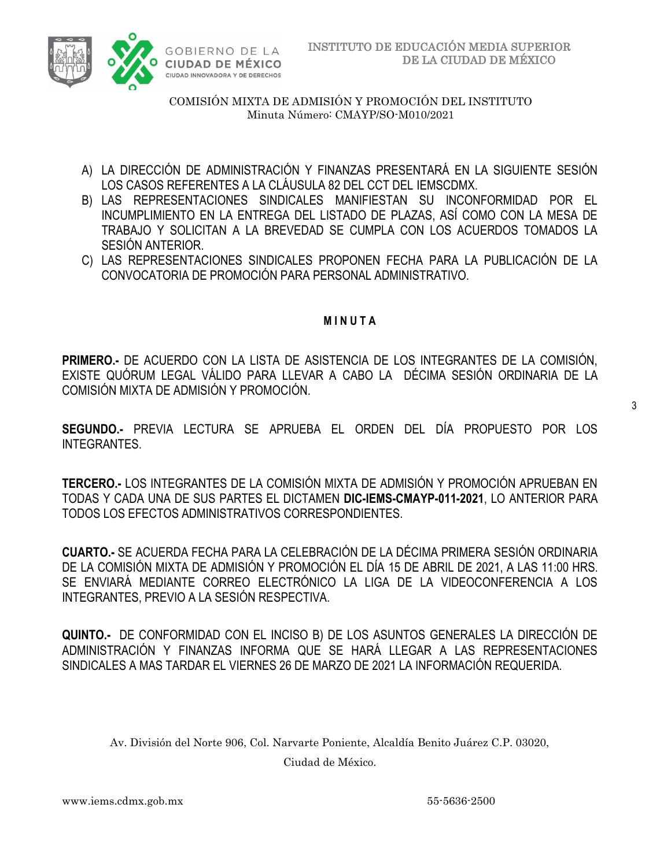

- A) LA DIRECCIÓN DE ADMINISTRACIÓN Y FINANZAS PRESENTARÁ EN LA SIGUIENTE SESIÓN LOS CASOS REFERENTES A LA CLÁUSULA 82 DEL CCT DEL IEMSCDMX.
- B) LAS REPRESENTACIONES SINDICALES MANIFIESTAN SU INCONFORMIDAD POR EL INCUMPLIMIENTO EN LA ENTREGA DEL LISTADO DE PLAZAS, ASÍ COMO CON LA MESA DE TRABAJO Y SOLICITAN A LA BREVEDAD SE CUMPLA CON LOS ACUERDOS TOMADOS LA SESIÓN ANTERIOR.
- C) LAS REPRESENTACIONES SINDICALES PROPONEN FECHA PARA LA PUBLICACIÓN DE LA CONVOCATORIA DE PROMOCIÓN PARA PERSONAL ADMINISTRATIVO.

#### **M I N U T A**

**PRIMERO.-** DE ACUERDO CON LA LISTA DE ASISTENCIA DE LOS INTEGRANTES DE LA COMISIÓN, EXISTE QUÓRUM LEGAL VÁLIDO PARA LLEVAR A CABO LA DÉCIMA SESIÓN ORDINARIA DE LA COMISIÓN MIXTA DE ADMISIÓN Y PROMOCIÓN.

3

**SEGUNDO.-** PREVIA LECTURA SE APRUEBA EL ORDEN DEL DÍA PROPUESTO POR LOS INTEGRANTES.

**TERCERO.-** LOS INTEGRANTES DE LA COMISIÓN MIXTA DE ADMISIÓN Y PROMOCIÓN APRUEBAN EN TODAS Y CADA UNA DE SUS PARTES EL DICTAMEN **DIC-IEMS-CMAYP-011-2021**, LO ANTERIOR PARA TODOS LOS EFECTOS ADMINISTRATIVOS CORRESPONDIENTES.

**CUARTO.-** SE ACUERDA FECHA PARA LA CELEBRACIÓN DE LA DÉCIMA PRIMERA SESIÓN ORDINARIA DE LA COMISIÓN MIXTA DE ADMISIÓN Y PROMOCIÓN EL DÍA 15 DE ABRIL DE 2021, A LAS 11:00 HRS. SE ENVIARÁ MEDIANTE CORREO ELECTRÓNICO LA LIGA DE LA VIDEOCONFERENCIA A LOS INTEGRANTES, PREVIO A LA SESIÓN RESPECTIVA.

**QUINTO.-** DE CONFORMIDAD CON EL INCISO B) DE LOS ASUNTOS GENERALES LA DIRECCIÓN DE ADMINISTRACIÓN Y FINANZAS INFORMA QUE SE HARÁ LLEGAR A LAS REPRESENTACIONES SINDICALES A MAS TARDAR EL VIERNES 26 DE MARZO DE 2021 LA INFORMACIÓN REQUERIDA.

Av. División del Norte 906, Col. Narvarte Poniente, Alcaldía Benito Juárez C.P. 03020,

Ciudad de México.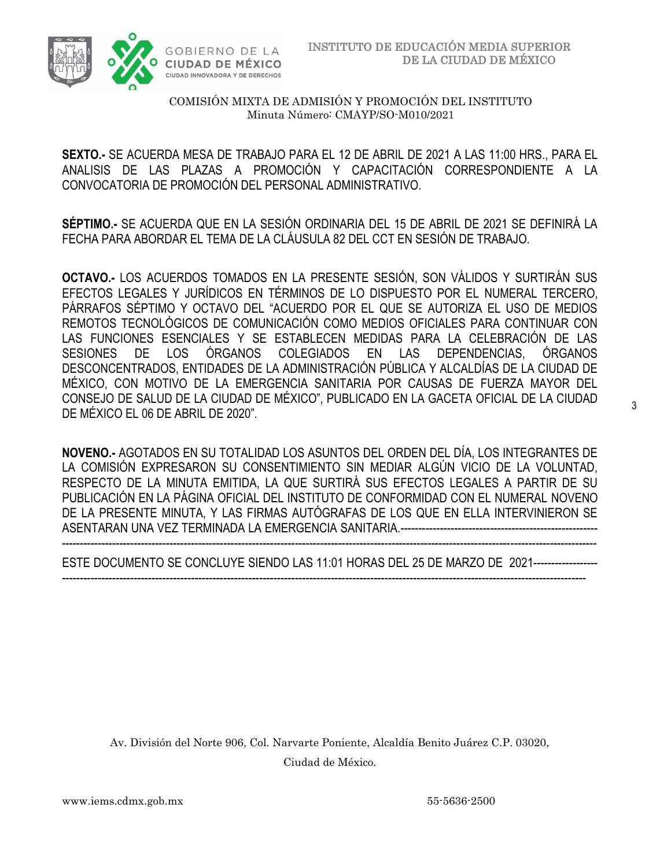

**SEXTO.-** SE ACUERDA MESA DE TRABAJO PARA EL 12 DE ABRIL DE 2021 A LAS 11:00 HRS., PARA EL ANALISIS DE LAS PLAZAS A PROMOCIÓN Y CAPACITACIÓN CORRESPONDIENTE A LA CONVOCATORIA DE PROMOCIÓN DEL PERSONAL ADMINISTRATIVO.

**SÉPTIMO.-** SE ACUERDA QUE EN LA SESIÓN ORDINARIA DEL 15 DE ABRIL DE 2021 SE DEFINIRÁ LA FECHA PARA ABORDAR EL TEMA DE LA CLÁUSULA 82 DEL CCT EN SESIÓN DE TRABAJO.

**OCTAVO.-** LOS ACUERDOS TOMADOS EN LA PRESENTE SESIÓN, SON VÁLIDOS Y SURTIRÁN SUS EFECTOS LEGALES Y JURÍDICOS EN TÉRMINOS DE LO DISPUESTO POR EL NUMERAL TERCERO, PÁRRAFOS SÉPTIMO Y OCTAVO DEL "ACUERDO POR EL QUE SE AUTORIZA EL USO DE MEDIOS REMOTOS TECNOLÓGICOS DE COMUNICACIÓN COMO MEDIOS OFICIALES PARA CONTINUAR CON LAS FUNCIONES ESENCIALES Y SE ESTABLECEN MEDIDAS PARA LA CELEBRACIÓN DE LAS SESIONES DE LOS ÓRGANOS COLEGIADOS EN LAS DEPENDENCIAS, ÓRGANOS DESCONCENTRADOS, ENTIDADES DE LA ADMINISTRACIÓN PÚBLICA Y ALCALDÍAS DE LA CIUDAD DE MÉXICO, CON MOTIVO DE LA EMERGENCIA SANITARIA POR CAUSAS DE FUERZA MAYOR DEL CONSEJO DE SALUD DE LA CIUDAD DE MÉXICO", PUBLICADO EN LA GACETA OFICIAL DE LA CIUDAD DE MÉXICO EL 06 DE ABRIL DE 2020".

**NOVENO.-** AGOTADOS EN SU TOTALIDAD LOS ASUNTOS DEL ORDEN DEL DÍA, LOS INTEGRANTES DE LA COMISIÓN EXPRESARON SU CONSENTIMIENTO SIN MEDIAR ALGÚN VICIO DE LA VOLUNTAD, RESPECTO DE LA MINUTA EMITIDA, LA QUE SURTIRÁ SUS EFECTOS LEGALES A PARTIR DE SU PUBLICACIÓN EN LA PÁGINA OFICIAL DEL INSTITUTO DE CONFORMIDAD CON EL NUMERAL NOVENO DE LA PRESENTE MINUTA, Y LAS FIRMAS AUTÓGRAFAS DE LOS QUE EN ELLA INTERVINIERON SE ASENTARAN UNA VEZ TERMINADA LA EMERGENCIA SANITARIA.------------------------------------------------------- -----------------------------------------------------------------------------------------------------------------------------------------------------

ESTE DOCUMENTO SE CONCLUYE SIENDO LAS 11:01 HORAS DEL 25 DE MARZO DE 2021------------------ --------------------------------------------------------------------------------------------------------------------------------------------------

Av. División del Norte 906, Col. Narvarte Poniente, Alcaldía Benito Juárez C.P. 03020, Ciudad de México.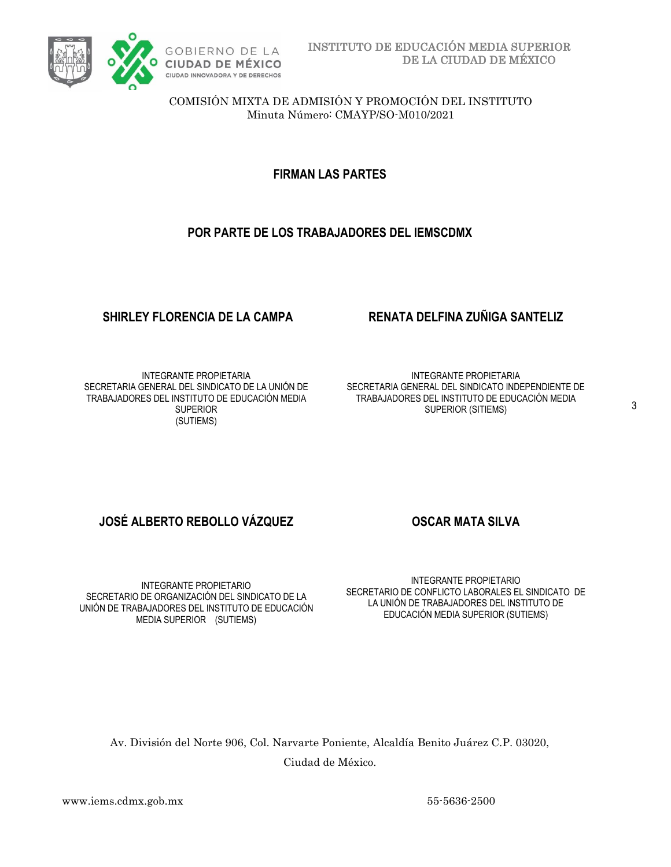

### **FIRMAN LAS PARTES**

#### **POR PARTE DE LOS TRABAJADORES DEL IEMSCDMX**

INTEGRANTE PROPIETARIA SECRETARIA GENERAL DEL SINDICATO DE LA UNIÓN DE TRABAJADORES DEL INSTITUTO DE EDUCACIÓN MEDIA **SUPERIOR** (SUTIEMS)

#### **SHIRLEY FLORENCIA DE LA CAMPA RENATA DELFINA ZUÑIGA SANTELIZ**

INTEGRANTE PROPIETARIA SECRETARIA GENERAL DEL SINDICATO INDEPENDIENTE DE TRABAJADORES DEL INSTITUTO DE EDUCACIÓN MEDIA SUPERIOR (SITIEMS)

### **JOSÉ ALBERTO REBOLLO VÁZQUEZ OSCAR MATA SILVA**

INTEGRANTE PROPIETARIO SECRETARIO DE ORGANIZACIÓN DEL SINDICATO DE LA UNIÓN DE TRABAJADORES DEL INSTITUTO DE EDUCACIÓN MEDIA SUPERIOR (SUTIEMS)

INTEGRANTE PROPIETARIO SECRETARIO DE CONFLICTO LABORALES EL SINDICATO DE LA UNIÓN DE TRABAJADORES DEL INSTITUTO DE EDUCACIÓN MEDIA SUPERIOR (SUTIEMS)

Av. División del Norte 906, Col. Narvarte Poniente, Alcaldía Benito Juárez C.P. 03020, Ciudad de México.